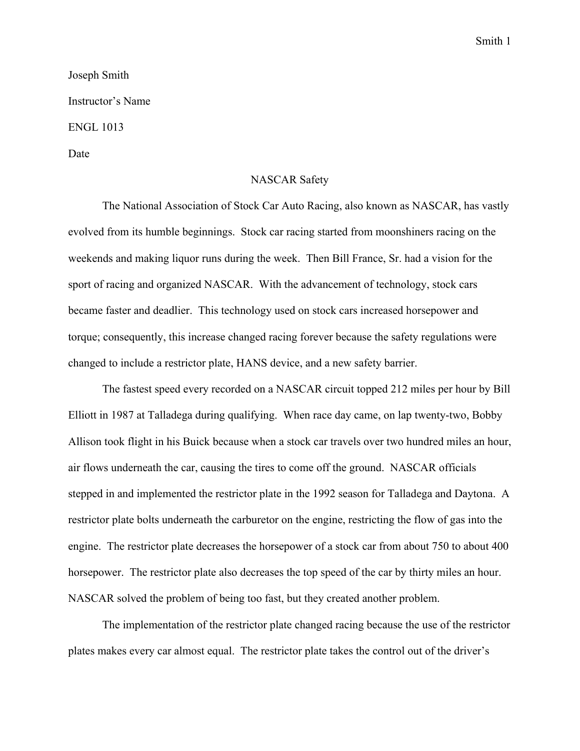## Smith 1

## Joseph Smith Instructor's Name ENGL 1013 Date

## NASCAR Safety

The National Association of Stock Car Auto Racing, also known as NASCAR, has vastly evolved from its humble beginnings. Stock car racing started from moonshiners racing on the weekends and making liquor runs during the week. Then Bill France, Sr. had a vision for the sport of racing and organized NASCAR. With the advancement of technology, stock cars became faster and deadlier. This technology used on stock cars increased horsepower and torque; consequently, this increase changed racing forever because the safety regulations were changed to include a restrictor plate, HANS device, and a new safety barrier.

The fastest speed every recorded on a NASCAR circuit topped 212 miles per hour by Bill Elliott in 1987 at Talladega during qualifying. When race day came, on lap twenty-two, Bobby Allison took flight in his Buick because when a stock car travels over two hundred miles an hour, air flows underneath the car, causing the tires to come off the ground. NASCAR officials stepped in and implemented the restrictor plate in the 1992 season for Talladega and Daytona. A restrictor plate bolts underneath the carburetor on the engine, restricting the flow of gas into the engine. The restrictor plate decreases the horsepower of a stock car from about 750 to about 400 horsepower. The restrictor plate also decreases the top speed of the car by thirty miles an hour. NASCAR solved the problem of being too fast, but they created another problem.

The implementation of the restrictor plate changed racing because the use of the restrictor plates makes every car almost equal. The restrictor plate takes the control out of the driver's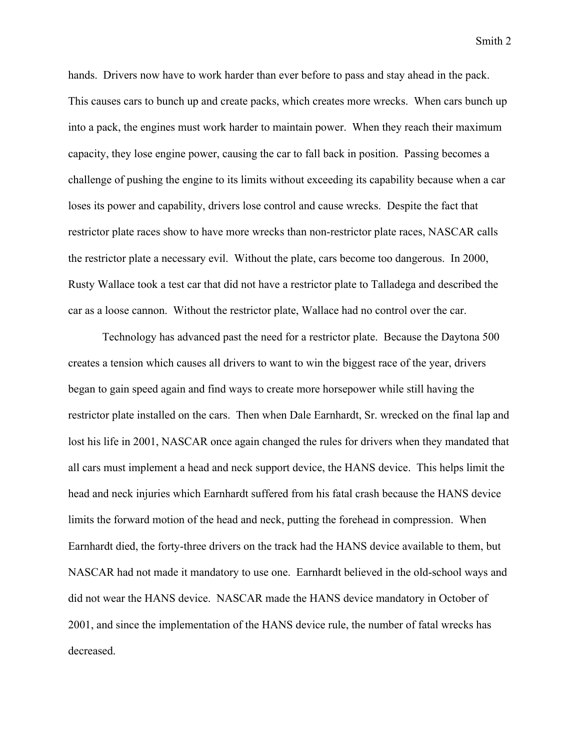Smith 2

hands. Drivers now have to work harder than ever before to pass and stay ahead in the pack. This causes cars to bunch up and create packs, which creates more wrecks. When cars bunch up into a pack, the engines must work harder to maintain power. When they reach their maximum capacity, they lose engine power, causing the car to fall back in position. Passing becomes a challenge of pushing the engine to its limits without exceeding its capability because when a car loses its power and capability, drivers lose control and cause wrecks. Despite the fact that restrictor plate races show to have more wrecks than non-restrictor plate races, NASCAR calls the restrictor plate a necessary evil. Without the plate, cars become too dangerous. In 2000, Rusty Wallace took a test car that did not have a restrictor plate to Talladega and described the car as a loose cannon. Without the restrictor plate, Wallace had no control over the car.

Technology has advanced past the need for a restrictor plate. Because the Daytona 500 creates a tension which causes all drivers to want to win the biggest race of the year, drivers began to gain speed again and find ways to create more horsepower while still having the restrictor plate installed on the cars. Then when Dale Earnhardt, Sr. wrecked on the final lap and lost his life in 2001, NASCAR once again changed the rules for drivers when they mandated that all cars must implement a head and neck support device, the HANS device. This helps limit the head and neck injuries which Earnhardt suffered from his fatal crash because the HANS device limits the forward motion of the head and neck, putting the forehead in compression. When Earnhardt died, the forty-three drivers on the track had the HANS device available to them, but NASCAR had not made it mandatory to use one. Earnhardt believed in the old-school ways and did not wear the HANS device. NASCAR made the HANS device mandatory in October of 2001, and since the implementation of the HANS device rule, the number of fatal wrecks has decreased.